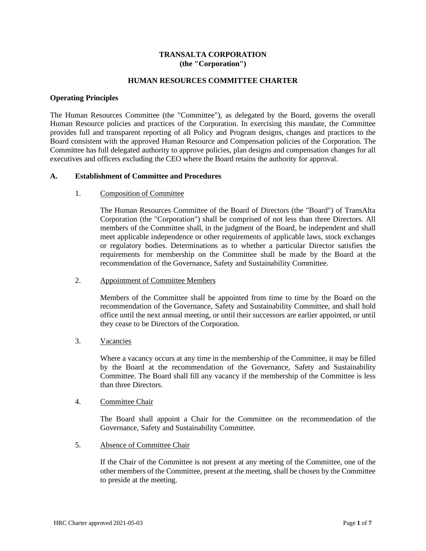## **TRANSALTA CORPORATION (the "Corporation")**

## **HUMAN RESOURCES COMMITTEE CHARTER**

### **Operating Principles**

The Human Resources Committee (the "Committee"), as delegated by the Board, governs the overall Human Resource policies and practices of the Corporation. In exercising this mandate, the Committee provides full and transparent reporting of all Policy and Program designs, changes and practices to the Board consistent with the approved Human Resource and Compensation policies of the Corporation. The Committee has full delegated authority to approve policies, plan designs and compensation changes for all executives and officers excluding the CEO where the Board retains the authority for approval.

### **A. Establishment of Committee and Procedures**

### 1. Composition of Committee

The Human Resources Committee of the Board of Directors (the "Board") of TransAlta Corporation (the "Corporation") shall be comprised of not less than three Directors. All members of the Committee shall, in the judgment of the Board, be independent and shall meet applicable independence or other requirements of applicable laws, stock exchanges or regulatory bodies. Determinations as to whether a particular Director satisfies the requirements for membership on the Committee shall be made by the Board at the recommendation of the Governance, Safety and Sustainability Committee.

#### 2. Appointment of Committee Members

Members of the Committee shall be appointed from time to time by the Board on the recommendation of the Governance, Safety and Sustainability Committee, and shall hold office until the next annual meeting, or until their successors are earlier appointed, or until they cease to be Directors of the Corporation.

#### 3. Vacancies

Where a vacancy occurs at any time in the membership of the Committee, it may be filled by the Board at the recommendation of the Governance, Safety and Sustainability Committee. The Board shall fill any vacancy if the membership of the Committee is less than three Directors.

#### 4. Committee Chair

The Board shall appoint a Chair for the Committee on the recommendation of the Governance, Safety and Sustainability Committee.

## 5. Absence of Committee Chair

If the Chair of the Committee is not present at any meeting of the Committee, one of the other members of the Committee, present at the meeting, shall be chosen by the Committee to preside at the meeting.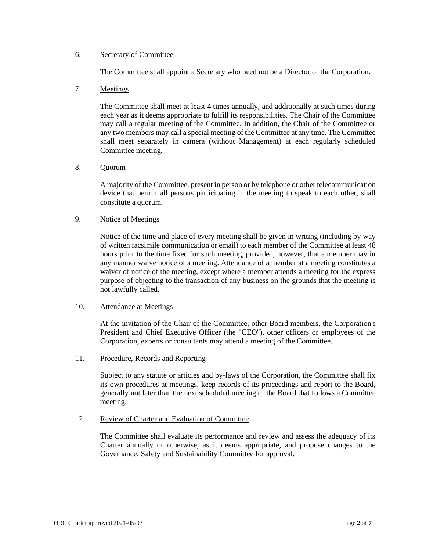### 6. Secretary of Committee

The Committee shall appoint a Secretary who need not be a Director of the Corporation.

## 7. Meetings

The Committee shall meet at least 4 times annually, and additionally at such times during each year as it deems appropriate to fulfill its responsibilities. The Chair of the Committee may call a regular meeting of the Committee. In addition, the Chair of the Committee or any two members may call a special meeting of the Committee at any time. The Committee shall meet separately in camera (without Management) at each regularly scheduled Committee meeting.

### 8. Quorum

A majority of the Committee, present in person or by telephone or other telecommunication device that permit all persons participating in the meeting to speak to each other, shall constitute a quorum.

## 9. Notice of Meetings

Notice of the time and place of every meeting shall be given in writing (including by way of written facsimile communication or email) to each member of the Committee at least 48 hours prior to the time fixed for such meeting, provided, however, that a member may in any manner waive notice of a meeting. Attendance of a member at a meeting constitutes a waiver of notice of the meeting, except where a member attends a meeting for the express purpose of objecting to the transaction of any business on the grounds that the meeting is not lawfully called.

### 10. Attendance at Meetings

At the invitation of the Chair of the Committee, other Board members, the Corporation's President and Chief Executive Officer (the "CEO"), other officers or employees of the Corporation, experts or consultants may attend a meeting of the Committee.

## 11. Procedure, Records and Reporting

Subject to any statute or articles and by-laws of the Corporation, the Committee shall fix its own procedures at meetings, keep records of its proceedings and report to the Board, generally not later than the next scheduled meeting of the Board that follows a Committee meeting.

## 12. Review of Charter and Evaluation of Committee

The Committee shall evaluate its performance and review and assess the adequacy of its Charter annually or otherwise, as it deems appropriate, and propose changes to the Governance, Safety and Sustainability Committee for approval.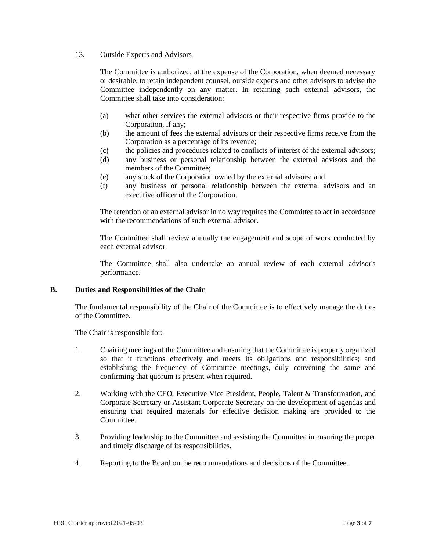## 13. Outside Experts and Advisors

The Committee is authorized, at the expense of the Corporation, when deemed necessary or desirable, to retain independent counsel, outside experts and other advisors to advise the Committee independently on any matter. In retaining such external advisors, the Committee shall take into consideration:

- (a) what other services the external advisors or their respective firms provide to the Corporation, if any;
- (b) the amount of fees the external advisors or their respective firms receive from the Corporation as a percentage of its revenue;
- (c) the policies and procedures related to conflicts of interest of the external advisors;
- (d) any business or personal relationship between the external advisors and the members of the Committee;
- (e) any stock of the Corporation owned by the external advisors; and
- (f) any business or personal relationship between the external advisors and an executive officer of the Corporation.

The retention of an external advisor in no way requires the Committee to act in accordance with the recommendations of such external advisor.

The Committee shall review annually the engagement and scope of work conducted by each external advisor.

The Committee shall also undertake an annual review of each external advisor's performance.

#### **B. Duties and Responsibilities of the Chair**

The fundamental responsibility of the Chair of the Committee is to effectively manage the duties of the Committee.

The Chair is responsible for:

- 1. Chairing meetings of the Committee and ensuring that the Committee is properly organized so that it functions effectively and meets its obligations and responsibilities; and establishing the frequency of Committee meetings, duly convening the same and confirming that quorum is present when required.
- 2. Working with the CEO, Executive Vice President, People, Talent & Transformation, and Corporate Secretary or Assistant Corporate Secretary on the development of agendas and ensuring that required materials for effective decision making are provided to the Committee.
- 3. Providing leadership to the Committee and assisting the Committee in ensuring the proper and timely discharge of its responsibilities.
- 4. Reporting to the Board on the recommendations and decisions of the Committee.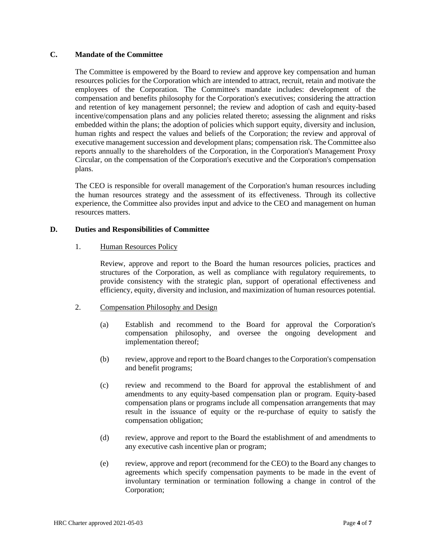# **C. Mandate of the Committee**

The Committee is empowered by the Board to review and approve key compensation and human resources policies for the Corporation which are intended to attract, recruit, retain and motivate the employees of the Corporation. The Committee's mandate includes: development of the compensation and benefits philosophy for the Corporation's executives; considering the attraction and retention of key management personnel; the review and adoption of cash and equity-based incentive/compensation plans and any policies related thereto; assessing the alignment and risks embedded within the plans; the adoption of policies which support equity, diversity and inclusion, human rights and respect the values and beliefs of the Corporation; the review and approval of executive management succession and development plans; compensation risk. The Committee also reports annually to the shareholders of the Corporation, in the Corporation's Management Proxy Circular, on the compensation of the Corporation's executive and the Corporation's compensation plans.

The CEO is responsible for overall management of the Corporation's human resources including the human resources strategy and the assessment of its effectiveness. Through its collective experience, the Committee also provides input and advice to the CEO and management on human resources matters.

## **D. Duties and Responsibilities of Committee**

### 1. Human Resources Policy

Review, approve and report to the Board the human resources policies, practices and structures of the Corporation, as well as compliance with regulatory requirements, to provide consistency with the strategic plan, support of operational effectiveness and efficiency, equity, diversity and inclusion, and maximization of human resources potential.

# 2. Compensation Philosophy and Design

- (a) Establish and recommend to the Board for approval the Corporation's compensation philosophy, and oversee the ongoing development and implementation thereof;
- (b) review, approve and report to the Board changes to the Corporation's compensation and benefit programs;
- (c) review and recommend to the Board for approval the establishment of and amendments to any equity-based compensation plan or program. Equity-based compensation plans or programs include all compensation arrangements that may result in the issuance of equity or the re-purchase of equity to satisfy the compensation obligation;
- (d) review, approve and report to the Board the establishment of and amendments to any executive cash incentive plan or program;
- (e) review, approve and report (recommend for the CEO) to the Board any changes to agreements which specify compensation payments to be made in the event of involuntary termination or termination following a change in control of the Corporation;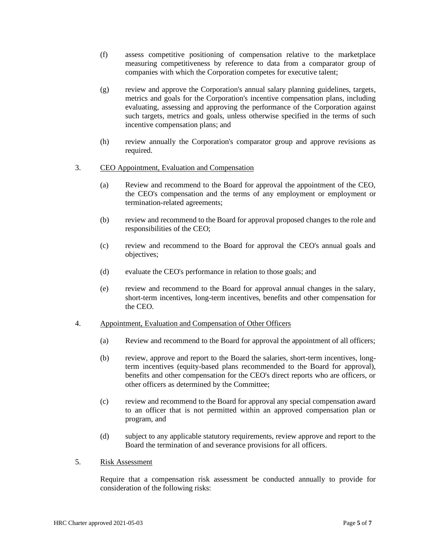- (f) assess competitive positioning of compensation relative to the marketplace measuring competitiveness by reference to data from a comparator group of companies with which the Corporation competes for executive talent;
- (g) review and approve the Corporation's annual salary planning guidelines, targets, metrics and goals for the Corporation's incentive compensation plans, including evaluating, assessing and approving the performance of the Corporation against such targets, metrics and goals, unless otherwise specified in the terms of such incentive compensation plans; and
- (h) review annually the Corporation's comparator group and approve revisions as required.

### 3. CEO Appointment, Evaluation and Compensation

- (a) Review and recommend to the Board for approval the appointment of the CEO, the CEO's compensation and the terms of any employment or employment or termination-related agreements;
- (b) review and recommend to the Board for approval proposed changes to the role and responsibilities of the CEO;
- (c) review and recommend to the Board for approval the CEO's annual goals and objectives;
- (d) evaluate the CEO's performance in relation to those goals; and
- (e) review and recommend to the Board for approval annual changes in the salary, short-term incentives, long-term incentives, benefits and other compensation for the CEO.
- 4. Appointment, Evaluation and Compensation of Other Officers
	- (a) Review and recommend to the Board for approval the appointment of all officers;
	- (b) review, approve and report to the Board the salaries, short-term incentives, longterm incentives (equity-based plans recommended to the Board for approval), benefits and other compensation for the CEO's direct reports who are officers, or other officers as determined by the Committee;
	- (c) review and recommend to the Board for approval any special compensation award to an officer that is not permitted within an approved compensation plan or program, and
	- (d) subject to any applicable statutory requirements, review approve and report to the Board the termination of and severance provisions for all officers.
- 5. Risk Assessment

Require that a compensation risk assessment be conducted annually to provide for consideration of the following risks: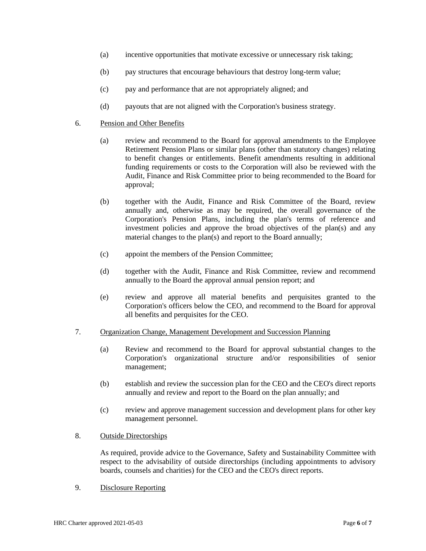- (a) incentive opportunities that motivate excessive or unnecessary risk taking;
- (b) pay structures that encourage behaviours that destroy long-term value;
- (c) pay and performance that are not appropriately aligned; and
- (d) payouts that are not aligned with the Corporation's business strategy.

### 6. Pension and Other Benefits

- (a) review and recommend to the Board for approval amendments to the Employee Retirement Pension Plans or similar plans (other than statutory changes) relating to benefit changes or entitlements. Benefit amendments resulting in additional funding requirements or costs to the Corporation will also be reviewed with the Audit, Finance and Risk Committee prior to being recommended to the Board for approval;
- (b) together with the Audit, Finance and Risk Committee of the Board, review annually and, otherwise as may be required, the overall governance of the Corporation's Pension Plans, including the plan's terms of reference and investment policies and approve the broad objectives of the plan(s) and any material changes to the plan(s) and report to the Board annually;
- (c) appoint the members of the Pension Committee;
- (d) together with the Audit, Finance and Risk Committee, review and recommend annually to the Board the approval annual pension report; and
- (e) review and approve all material benefits and perquisites granted to the Corporation's officers below the CEO, and recommend to the Board for approval all benefits and perquisites for the CEO.
- 7. Organization Change, Management Development and Succession Planning
	- (a) Review and recommend to the Board for approval substantial changes to the Corporation's organizational structure and/or responsibilities of senior management;
	- (b) establish and review the succession plan for the CEO and the CEO's direct reports annually and review and report to the Board on the plan annually; and
	- (c) review and approve management succession and development plans for other key management personnel.

### 8. Outside Directorships

As required, provide advice to the Governance, Safety and Sustainability Committee with respect to the advisability of outside directorships (including appointments to advisory boards, counsels and charities) for the CEO and the CEO's direct reports.

### 9. Disclosure Reporting